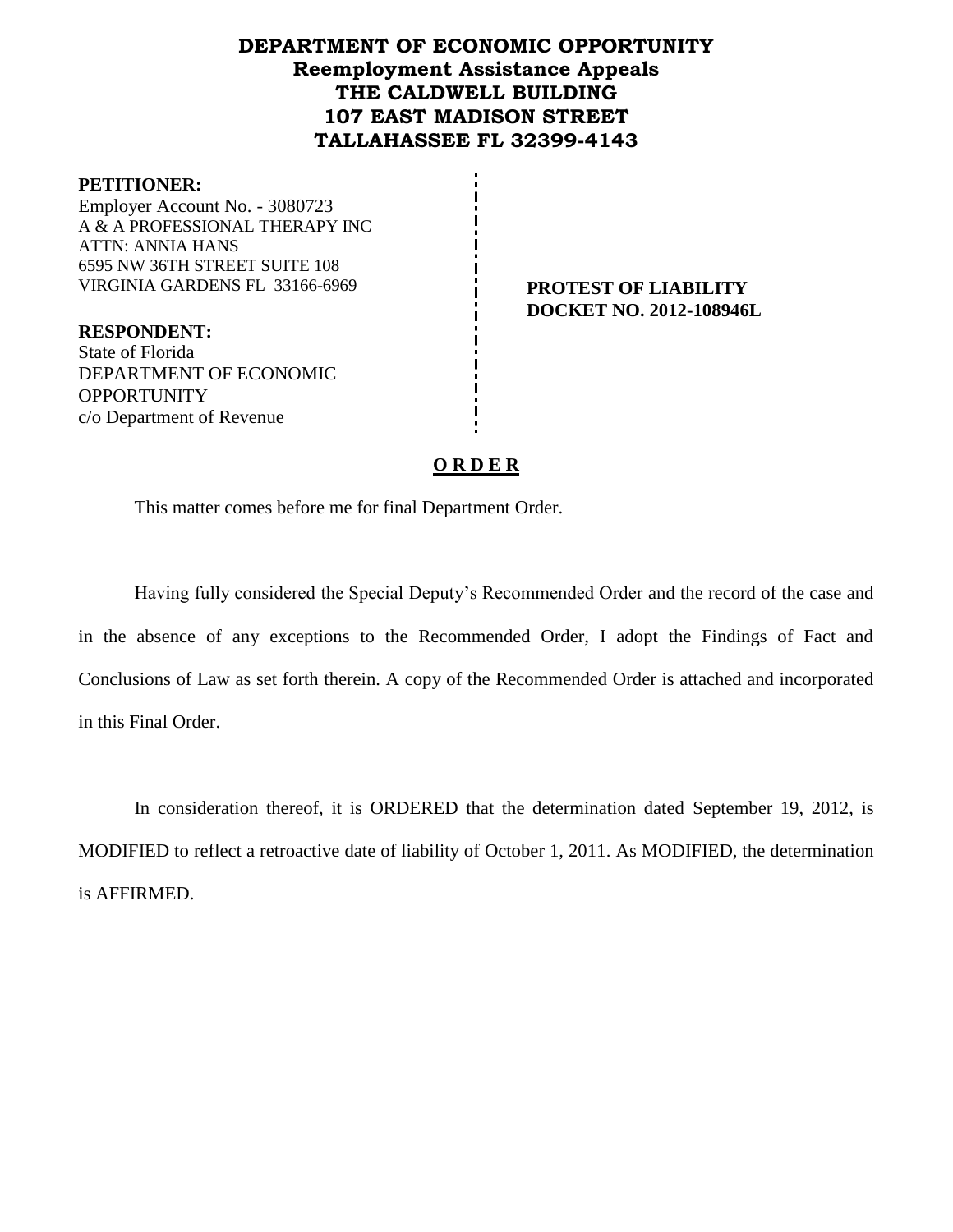# **DEPARTMENT OF ECONOMIC OPPORTUNITY Reemployment Assistance Appeals THE CALDWELL BUILDING 107 EAST MADISON STREET TALLAHASSEE FL 32399-4143**

#### **PETITIONER:**

Employer Account No. - 3080723 A & A PROFESSIONAL THERAPY INC ATTN: ANNIA HANS 6595 NW 36TH STREET SUITE 108 VIRGINIA GARDENS FL 33166-6969 **PROTEST OF LIABILITY**

**RESPONDENT:** State of Florida DEPARTMENT OF ECONOMIC **OPPORTUNITY** c/o Department of Revenue

**DOCKET NO. 2012-108946L**

## **O R D E R**

This matter comes before me for final Department Order.

Having fully considered the Special Deputy's Recommended Order and the record of the case and in the absence of any exceptions to the Recommended Order, I adopt the Findings of Fact and Conclusions of Law as set forth therein. A copy of the Recommended Order is attached and incorporated in this Final Order.

In consideration thereof, it is ORDERED that the determination dated September 19, 2012, is MODIFIED to reflect a retroactive date of liability of October 1, 2011. As MODIFIED, the determination is AFFIRMED.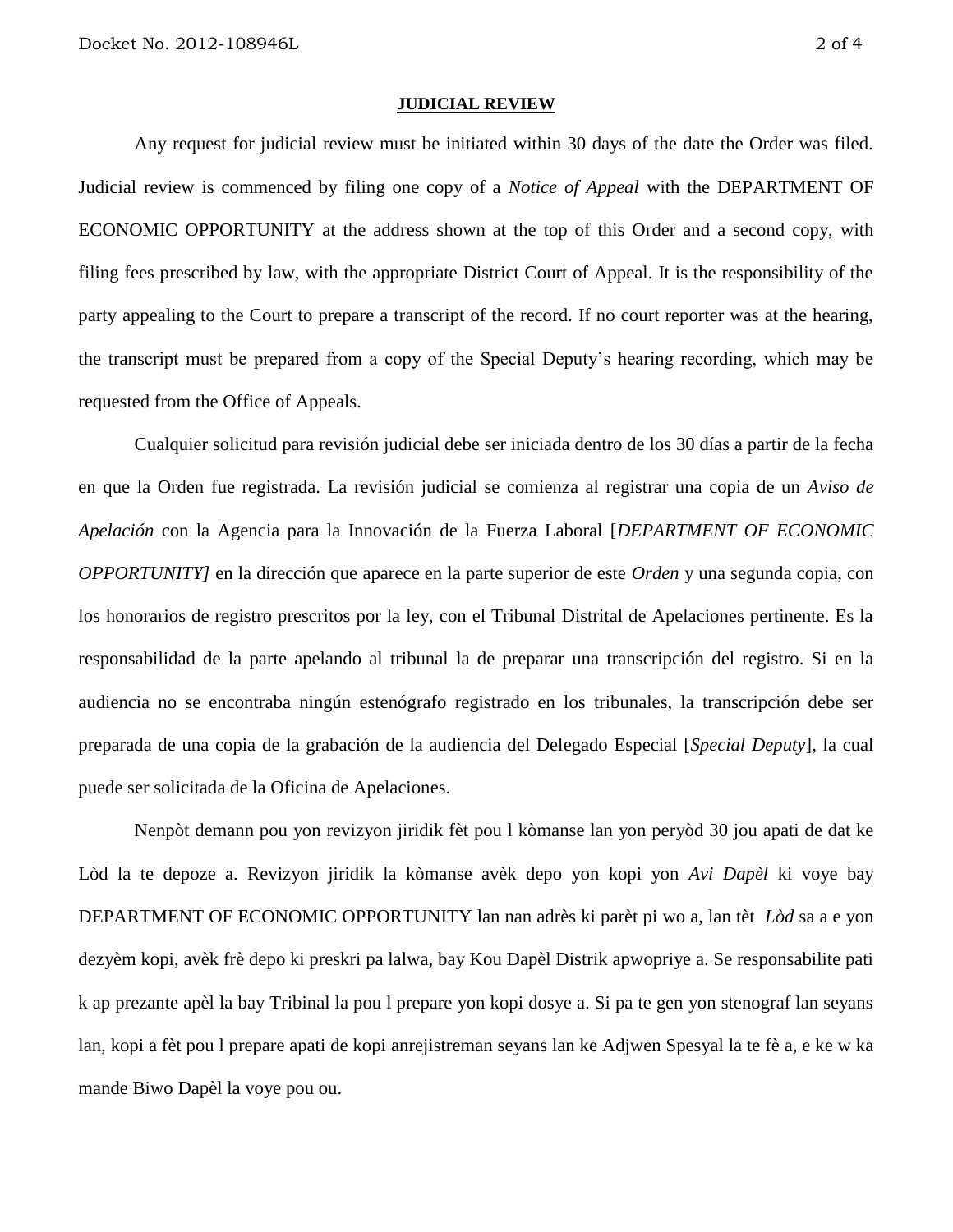#### **JUDICIAL REVIEW**

Any request for judicial review must be initiated within 30 days of the date the Order was filed. Judicial review is commenced by filing one copy of a *Notice of Appeal* with the DEPARTMENT OF ECONOMIC OPPORTUNITY at the address shown at the top of this Order and a second copy, with filing fees prescribed by law, with the appropriate District Court of Appeal. It is the responsibility of the party appealing to the Court to prepare a transcript of the record. If no court reporter was at the hearing, the transcript must be prepared from a copy of the Special Deputy's hearing recording, which may be requested from the Office of Appeals.

Cualquier solicitud para revisión judicial debe ser iniciada dentro de los 30 días a partir de la fecha en que la Orden fue registrada. La revisión judicial se comienza al registrar una copia de un *Aviso de Apelación* con la Agencia para la Innovación de la Fuerza Laboral [*DEPARTMENT OF ECONOMIC OPPORTUNITY]* en la dirección que aparece en la parte superior de este *Orden* y una segunda copia, con los honorarios de registro prescritos por la ley, con el Tribunal Distrital de Apelaciones pertinente. Es la responsabilidad de la parte apelando al tribunal la de preparar una transcripción del registro. Si en la audiencia no se encontraba ningún estenógrafo registrado en los tribunales, la transcripción debe ser preparada de una copia de la grabación de la audiencia del Delegado Especial [*Special Deputy*], la cual puede ser solicitada de la Oficina de Apelaciones.

Nenpòt demann pou yon revizyon jiridik fèt pou l kòmanse lan yon peryòd 30 jou apati de dat ke Lòd la te depoze a. Revizyon jiridik la kòmanse avèk depo yon kopi yon *Avi Dapèl* ki voye bay DEPARTMENT OF ECONOMIC OPPORTUNITY lan nan adrès ki parèt pi wo a, lan tèt *Lòd* sa a e yon dezyèm kopi, avèk frè depo ki preskri pa lalwa, bay Kou Dapèl Distrik apwopriye a. Se responsabilite pati k ap prezante apèl la bay Tribinal la pou l prepare yon kopi dosye a. Si pa te gen yon stenograf lan seyans lan, kopi a fèt pou l prepare apati de kopi anrejistreman seyans lan ke Adjwen Spesyal la te fè a, e ke w ka mande Biwo Dapèl la voye pou ou.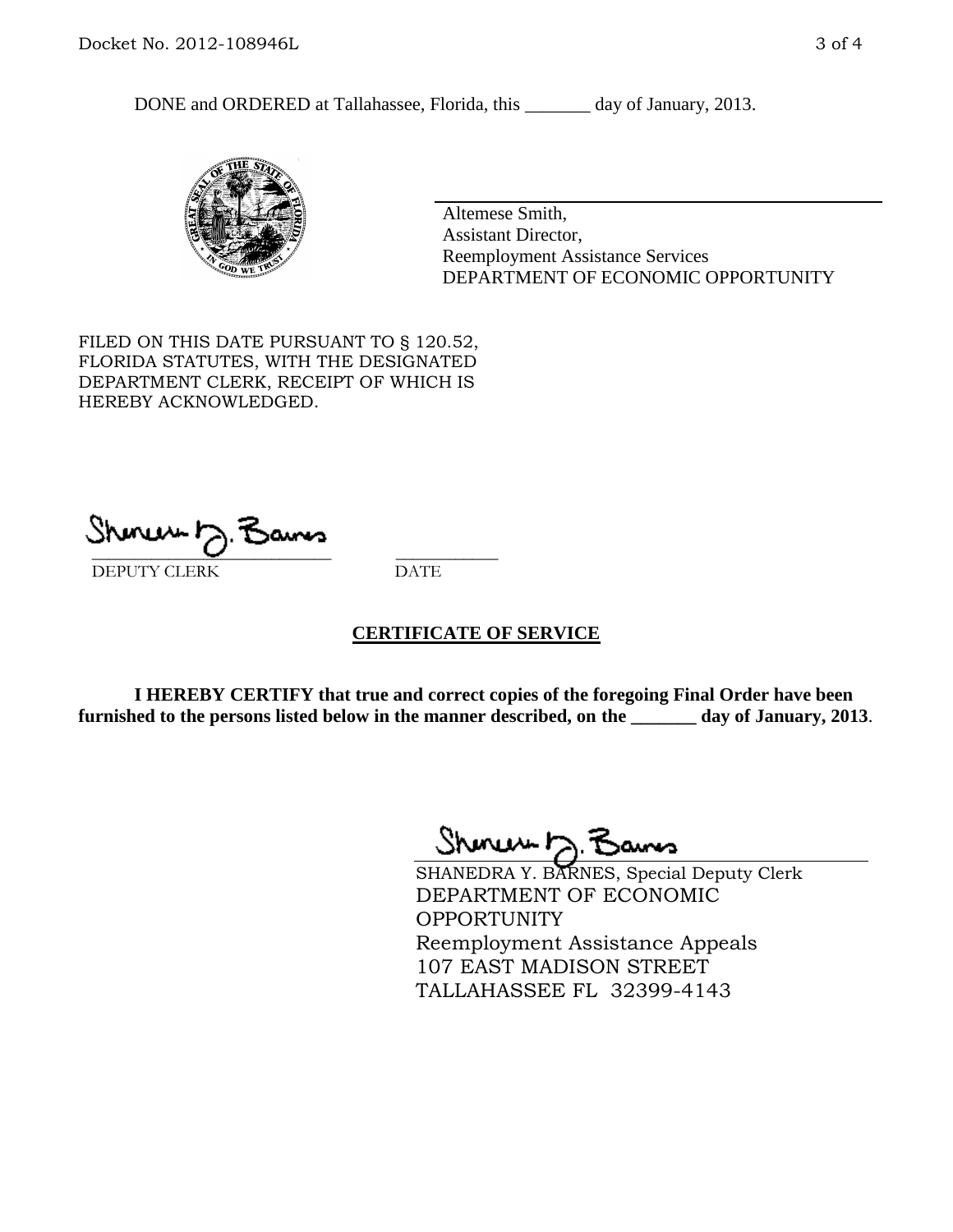DONE and ORDERED at Tallahassee, Florida, this \_\_\_\_\_\_\_ day of January, 2013.



Altemese Smith, Assistant Director, Reemployment Assistance Services DEPARTMENT OF ECONOMIC OPPORTUNITY

FILED ON THIS DATE PURSUANT TO § 120.52, FLORIDA STATUTES, WITH THE DESIGNATED DEPARTMENT CLERK, RECEIPT OF WHICH IS HEREBY ACKNOWLEDGED.

 $\overline{\phantom{a}}$  ,  $\overline{\phantom{a}}$  ,  $\overline{\phantom{a}}$  ,  $\overline{\phantom{a}}$  ,  $\overline{\phantom{a}}$  ,  $\overline{\phantom{a}}$  ,  $\overline{\phantom{a}}$  ,  $\overline{\phantom{a}}$  ,  $\overline{\phantom{a}}$  ,  $\overline{\phantom{a}}$  ,  $\overline{\phantom{a}}$  ,  $\overline{\phantom{a}}$  ,  $\overline{\phantom{a}}$  ,  $\overline{\phantom{a}}$  ,  $\overline{\phantom{a}}$  ,  $\overline{\phantom{a}}$ DEPUTY CLERK DATE

## **CERTIFICATE OF SERVICE**

**I HEREBY CERTIFY that true and correct copies of the foregoing Final Order have been furnished to the persons listed below in the manner described, on the \_\_\_\_\_\_\_ day of January, 2013**.

 $ShmumD.$ 

SHANEDRA Y. BARNES, Special Deputy Clerk DEPARTMENT OF ECONOMIC OPPORTUNITY Reemployment Assistance Appeals 107 EAST MADISON STREET TALLAHASSEE FL 32399-4143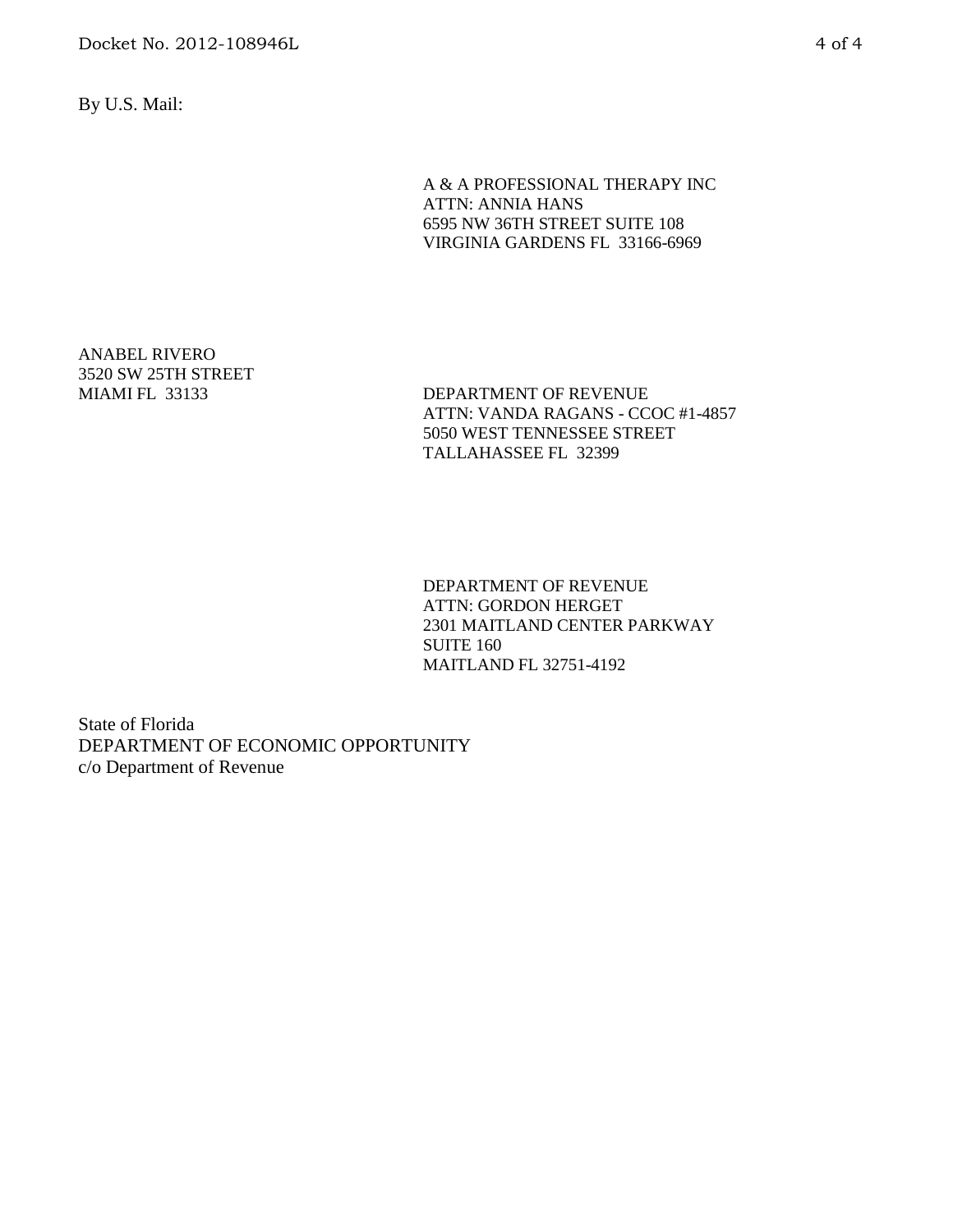By U.S. Mail:

A & A PROFESSIONAL THERAPY INC ATTN: ANNIA HANS 6595 NW 36TH STREET SUITE 108 VIRGINIA GARDENS FL 33166-6969

ANABEL RIVERO 3520 SW 25TH STREET

MIAMI FL 33133 DEPARTMENT OF REVENUE ATTN: VANDA RAGANS - CCOC #1-4857 5050 WEST TENNESSEE STREET TALLAHASSEE FL 32399

> DEPARTMENT OF REVENUE ATTN: GORDON HERGET 2301 MAITLAND CENTER PARKWAY SUITE 160 MAITLAND FL 32751-4192

State of Florida DEPARTMENT OF ECONOMIC OPPORTUNITY c/o Department of Revenue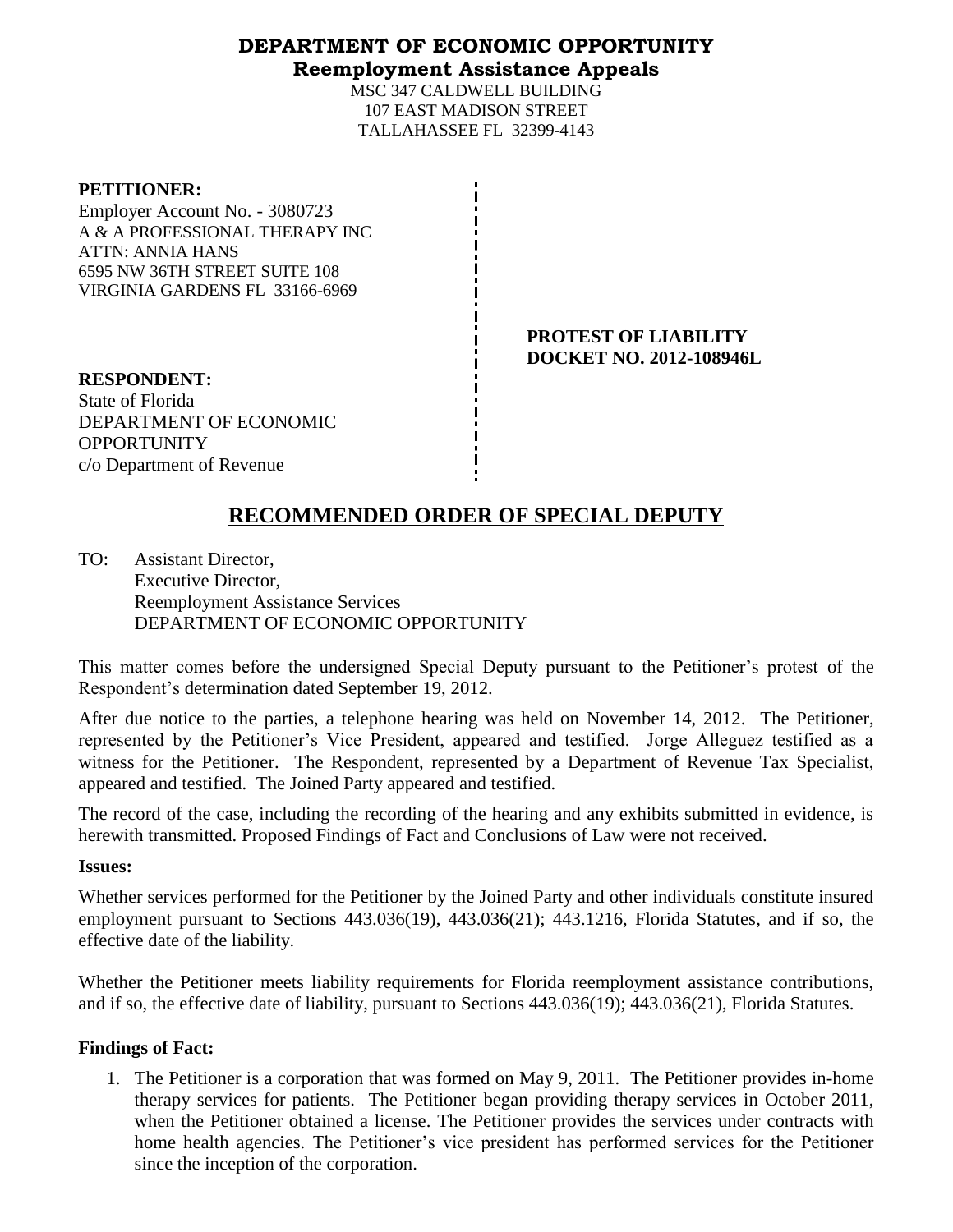## **DEPARTMENT OF ECONOMIC OPPORTUNITY Reemployment Assistance Appeals**

MSC 347 CALDWELL BUILDING 107 EAST MADISON STREET TALLAHASSEE FL 32399-4143

#### **PETITIONER:**

Employer Account No. - 3080723 A & A PROFESSIONAL THERAPY INC ATTN: ANNIA HANS 6595 NW 36TH STREET SUITE 108 VIRGINIA GARDENS FL 33166-6969

> **PROTEST OF LIABILITY DOCKET NO. 2012-108946L**

**RESPONDENT:** State of Florida DEPARTMENT OF ECONOMIC **OPPORTUNITY** c/o Department of Revenue

# **RECOMMENDED ORDER OF SPECIAL DEPUTY**

TO: Assistant Director, Executive Director, Reemployment Assistance Services DEPARTMENT OF ECONOMIC OPPORTUNITY

This matter comes before the undersigned Special Deputy pursuant to the Petitioner's protest of the Respondent's determination dated September 19, 2012.

After due notice to the parties, a telephone hearing was held on November 14, 2012. The Petitioner, represented by the Petitioner's Vice President, appeared and testified. Jorge Alleguez testified as a witness for the Petitioner. The Respondent, represented by a Department of Revenue Tax Specialist, appeared and testified. The Joined Party appeared and testified.

The record of the case, including the recording of the hearing and any exhibits submitted in evidence, is herewith transmitted. Proposed Findings of Fact and Conclusions of Law were not received.

## **Issues:**

Whether services performed for the Petitioner by the Joined Party and other individuals constitute insured employment pursuant to Sections 443.036(19), 443.036(21); 443.1216, Florida Statutes, and if so, the effective date of the liability.

Whether the Petitioner meets liability requirements for Florida reemployment assistance contributions, and if so, the effective date of liability, pursuant to Sections 443.036(19); 443.036(21), Florida Statutes.

## **Findings of Fact:**

1. The Petitioner is a corporation that was formed on May 9, 2011. The Petitioner provides in-home therapy services for patients. The Petitioner began providing therapy services in October 2011, when the Petitioner obtained a license. The Petitioner provides the services under contracts with home health agencies. The Petitioner's vice president has performed services for the Petitioner since the inception of the corporation.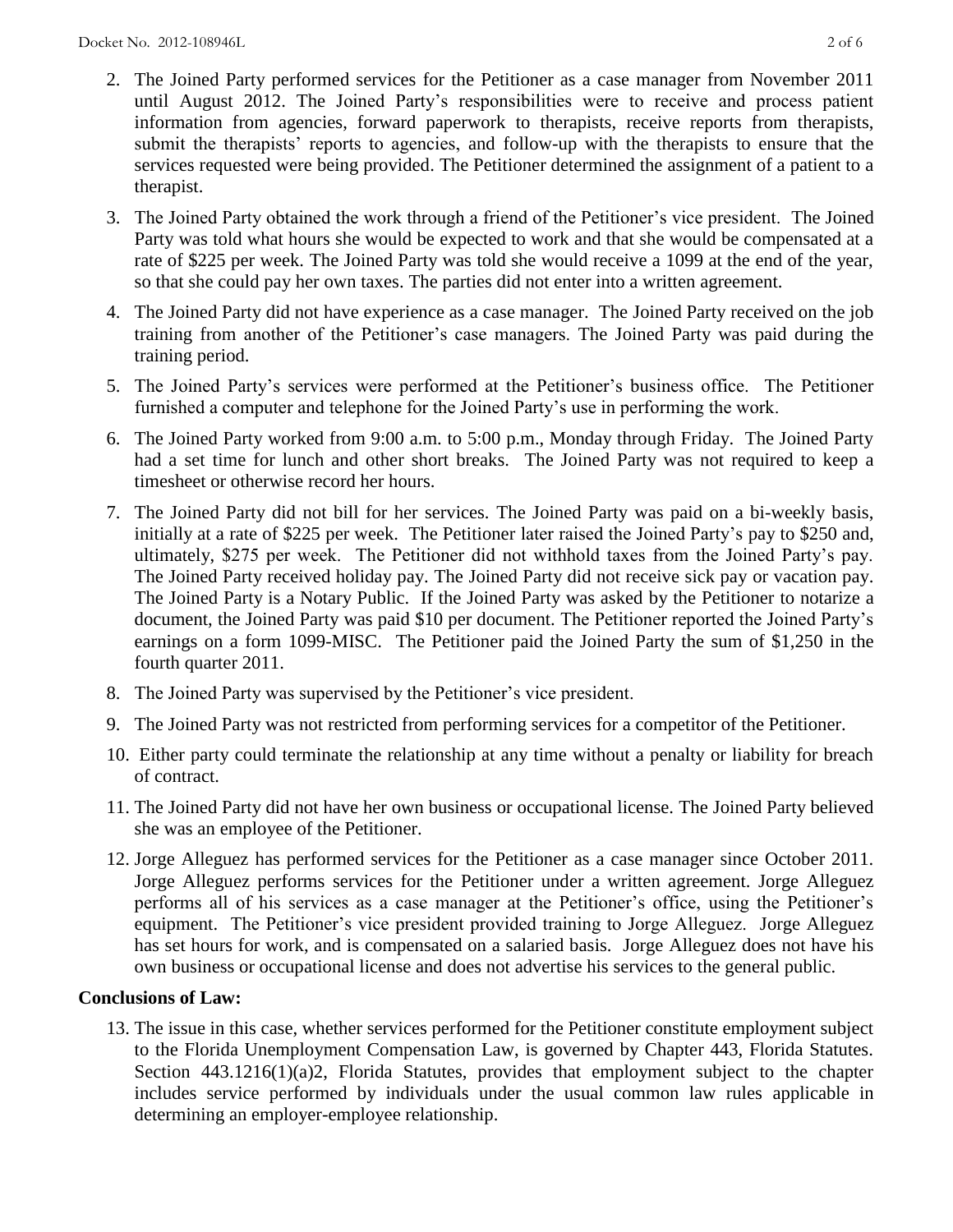- 2. The Joined Party performed services for the Petitioner as a case manager from November 2011 until August 2012. The Joined Party's responsibilities were to receive and process patient information from agencies, forward paperwork to therapists, receive reports from therapists, submit the therapists' reports to agencies, and follow-up with the therapists to ensure that the services requested were being provided. The Petitioner determined the assignment of a patient to a therapist.
- 3. The Joined Party obtained the work through a friend of the Petitioner's vice president. The Joined Party was told what hours she would be expected to work and that she would be compensated at a rate of \$225 per week. The Joined Party was told she would receive a 1099 at the end of the year, so that she could pay her own taxes. The parties did not enter into a written agreement.
- 4. The Joined Party did not have experience as a case manager. The Joined Party received on the job training from another of the Petitioner's case managers. The Joined Party was paid during the training period.
- 5. The Joined Party's services were performed at the Petitioner's business office. The Petitioner furnished a computer and telephone for the Joined Party's use in performing the work.
- 6. The Joined Party worked from 9:00 a.m. to 5:00 p.m., Monday through Friday. The Joined Party had a set time for lunch and other short breaks. The Joined Party was not required to keep a timesheet or otherwise record her hours.
- 7. The Joined Party did not bill for her services. The Joined Party was paid on a bi-weekly basis, initially at a rate of \$225 per week. The Petitioner later raised the Joined Party's pay to \$250 and, ultimately, \$275 per week. The Petitioner did not withhold taxes from the Joined Party's pay. The Joined Party received holiday pay. The Joined Party did not receive sick pay or vacation pay. The Joined Party is a Notary Public. If the Joined Party was asked by the Petitioner to notarize a document, the Joined Party was paid \$10 per document. The Petitioner reported the Joined Party's earnings on a form 1099-MISC. The Petitioner paid the Joined Party the sum of \$1,250 in the fourth quarter 2011.
- 8. The Joined Party was supervised by the Petitioner's vice president.
- 9. The Joined Party was not restricted from performing services for a competitor of the Petitioner.
- 10. Either party could terminate the relationship at any time without a penalty or liability for breach of contract.
- 11. The Joined Party did not have her own business or occupational license. The Joined Party believed she was an employee of the Petitioner.
- 12. Jorge Alleguez has performed services for the Petitioner as a case manager since October 2011. Jorge Alleguez performs services for the Petitioner under a written agreement. Jorge Alleguez performs all of his services as a case manager at the Petitioner's office, using the Petitioner's equipment. The Petitioner's vice president provided training to Jorge Alleguez. Jorge Alleguez has set hours for work, and is compensated on a salaried basis. Jorge Alleguez does not have his own business or occupational license and does not advertise his services to the general public.

## **Conclusions of Law:**

13. The issue in this case, whether services performed for the Petitioner constitute employment subject to the Florida Unemployment Compensation Law, is governed by Chapter 443, Florida Statutes. Section 443.1216(1)(a)2, Florida Statutes, provides that employment subject to the chapter includes service performed by individuals under the usual common law rules applicable in determining an employer-employee relationship.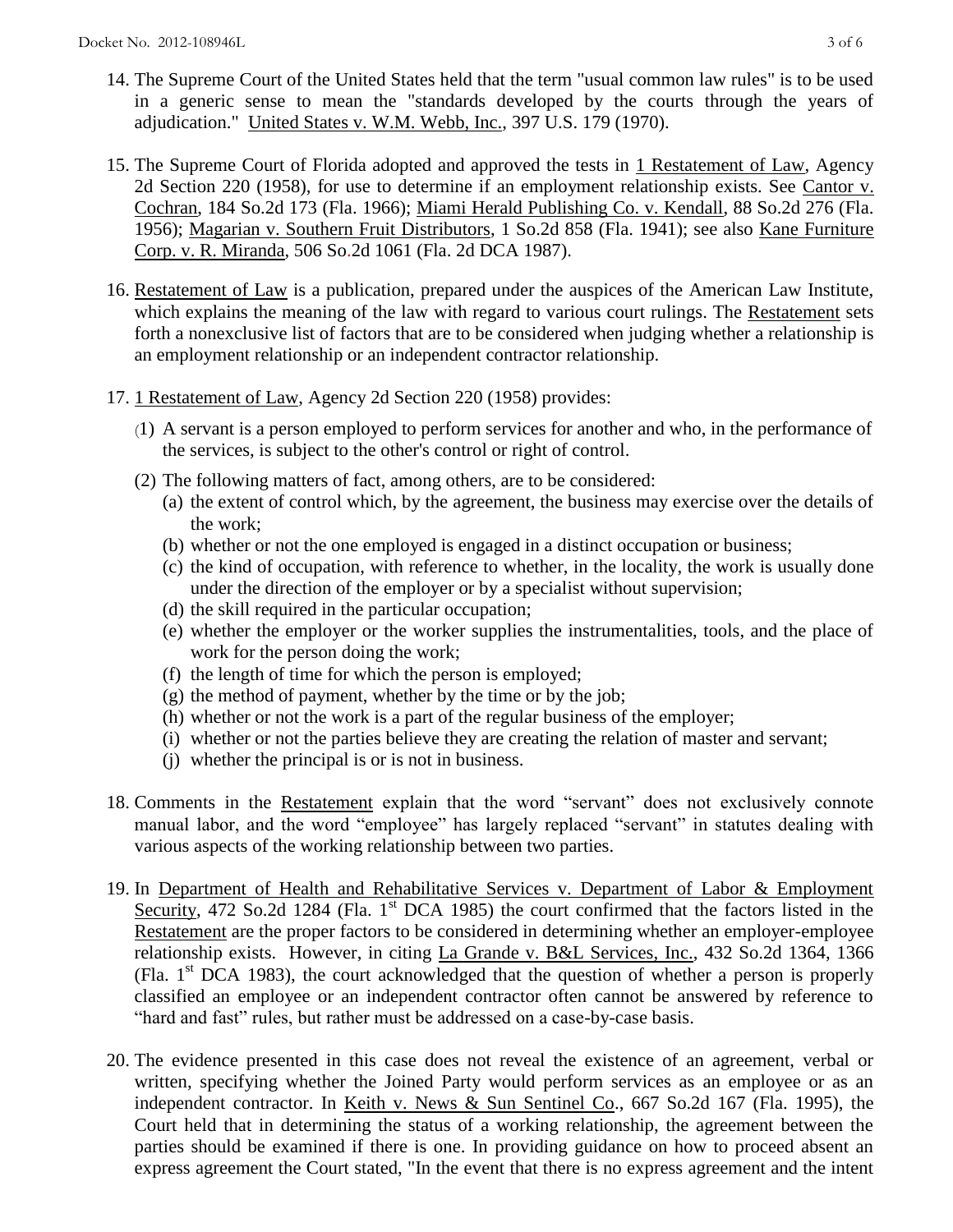- 14. The Supreme Court of the United States held that the term "usual common law rules" is to be used in a generic sense to mean the "standards developed by the courts through the years of adjudication." United States v. W.M. Webb, Inc., 397 U.S. 179 (1970).
- 15. The Supreme Court of Florida adopted and approved the tests in 1 Restatement of Law, Agency 2d Section 220 (1958), for use to determine if an employment relationship exists. See Cantor v. Cochran, 184 So.2d 173 (Fla. 1966); Miami Herald Publishing Co. v. Kendall, 88 So.2d 276 (Fla. 1956); Magarian v. Southern Fruit Distributors, 1 So.2d 858 (Fla. 1941); see also Kane Furniture Corp. v. R. Miranda, 506 So.2d 1061 (Fla. 2d DCA 1987).
- 16. Restatement of Law is a publication, prepared under the auspices of the American Law Institute, which explains the meaning of the law with regard to various court rulings. The Restatement sets forth a nonexclusive list of factors that are to be considered when judging whether a relationship is an employment relationship or an independent contractor relationship.
- 17. 1 Restatement of Law, Agency 2d Section 220 (1958) provides:
	- (1) A servant is a person employed to perform services for another and who, in the performance of the services, is subject to the other's control or right of control.
	- (2) The following matters of fact, among others, are to be considered:
		- (a) the extent of control which, by the agreement, the business may exercise over the details of the work;
		- (b) whether or not the one employed is engaged in a distinct occupation or business;
		- (c) the kind of occupation, with reference to whether, in the locality, the work is usually done under the direction of the employer or by a specialist without supervision;
		- (d) the skill required in the particular occupation;
		- (e) whether the employer or the worker supplies the instrumentalities, tools, and the place of work for the person doing the work;
		- (f) the length of time for which the person is employed;
		- $(g)$  the method of payment, whether by the time or by the job;
		- (h) whether or not the work is a part of the regular business of the employer;
		- (i) whether or not the parties believe they are creating the relation of master and servant;
		- (j) whether the principal is or is not in business.
- 18. Comments in the Restatement explain that the word "servant" does not exclusively connote manual labor, and the word "employee" has largely replaced "servant" in statutes dealing with various aspects of the working relationship between two parties.
- 19. In Department of Health and Rehabilitative Services v. Department of Labor & Employment Security, 472 So.2d 1284 (Fla. 1<sup>st</sup> DCA 1985) the court confirmed that the factors listed in the Restatement are the proper factors to be considered in determining whether an employer-employee relationship exists. However, in citing La Grande v. B&L Services, Inc., 432 So.2d 1364, 1366 (Fla.  $1<sup>st</sup> DCA$  1983), the court acknowledged that the question of whether a person is properly classified an employee or an independent contractor often cannot be answered by reference to "hard and fast" rules, but rather must be addressed on a case-by-case basis.
- 20. The evidence presented in this case does not reveal the existence of an agreement, verbal or written, specifying whether the Joined Party would perform services as an employee or as an independent contractor. In Keith v. News & Sun Sentinel Co., 667 So.2d 167 (Fla. 1995), the Court held that in determining the status of a working relationship, the agreement between the parties should be examined if there is one. In providing guidance on how to proceed absent an express agreement the Court stated, "In the event that there is no express agreement and the intent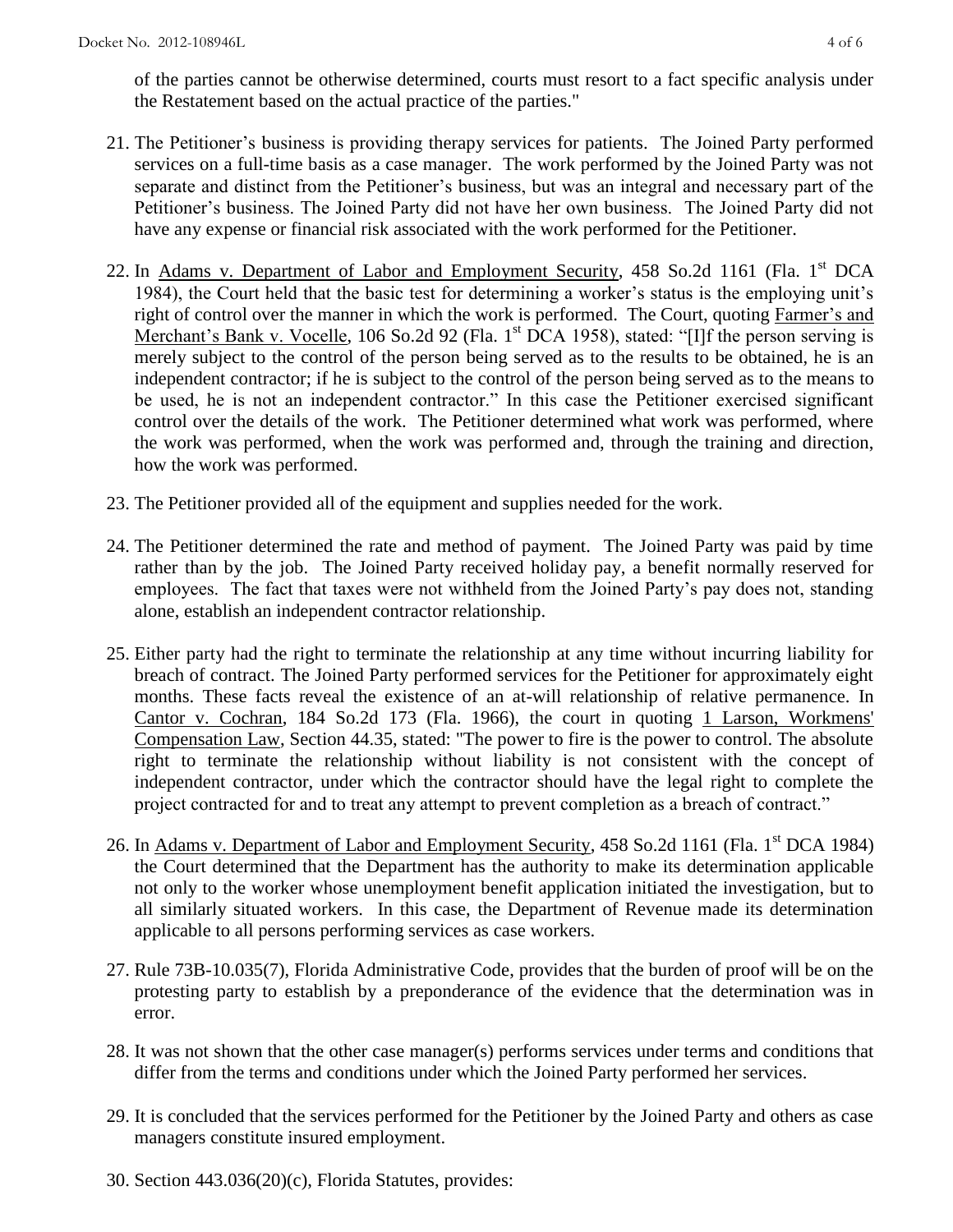of the parties cannot be otherwise determined, courts must resort to a fact specific analysis under the Restatement based on the actual practice of the parties."

- 21. The Petitioner's business is providing therapy services for patients. The Joined Party performed services on a full-time basis as a case manager. The work performed by the Joined Party was not separate and distinct from the Petitioner's business, but was an integral and necessary part of the Petitioner's business. The Joined Party did not have her own business. The Joined Party did not have any expense or financial risk associated with the work performed for the Petitioner.
- 22. In Adams v. Department of Labor and Employment Security, 458 So.2d 1161 (Fla. 1<sup>st</sup> DCA 1984), the Court held that the basic test for determining a worker's status is the employing unit's right of control over the manner in which the work is performed. The Court, quoting Farmer's and Merchant's Bank v. Vocelle, 106 So.2d 92 (Fla. 1<sup>st</sup> DCA 1958), stated: "[I]f the person serving is merely subject to the control of the person being served as to the results to be obtained, he is an independent contractor; if he is subject to the control of the person being served as to the means to be used, he is not an independent contractor." In this case the Petitioner exercised significant control over the details of the work. The Petitioner determined what work was performed, where the work was performed, when the work was performed and, through the training and direction, how the work was performed.
- 23. The Petitioner provided all of the equipment and supplies needed for the work.
- 24. The Petitioner determined the rate and method of payment. The Joined Party was paid by time rather than by the job. The Joined Party received holiday pay, a benefit normally reserved for employees. The fact that taxes were not withheld from the Joined Party's pay does not, standing alone, establish an independent contractor relationship.
- 25. Either party had the right to terminate the relationship at any time without incurring liability for breach of contract. The Joined Party performed services for the Petitioner for approximately eight months. These facts reveal the existence of an at-will relationship of relative permanence. In Cantor v. Cochran, 184 So.2d 173 (Fla. 1966), the court in quoting 1 Larson, Workmens' Compensation Law, Section 44.35, stated: "The power to fire is the power to control. The absolute right to terminate the relationship without liability is not consistent with the concept of independent contractor, under which the contractor should have the legal right to complete the project contracted for and to treat any attempt to prevent completion as a breach of contract."
- 26. In Adams v. Department of Labor and Employment Security, 458 So.2d 1161 (Fla. 1<sup>st</sup> DCA 1984) the Court determined that the Department has the authority to make its determination applicable not only to the worker whose unemployment benefit application initiated the investigation, but to all similarly situated workers. In this case, the Department of Revenue made its determination applicable to all persons performing services as case workers.
- 27. Rule 73B-10.035(7), Florida Administrative Code, provides that the burden of proof will be on the protesting party to establish by a preponderance of the evidence that the determination was in error.
- 28. It was not shown that the other case manager(s) performs services under terms and conditions that differ from the terms and conditions under which the Joined Party performed her services.
- 29. It is concluded that the services performed for the Petitioner by the Joined Party and others as case managers constitute insured employment.
- 30. Section 443.036(20)(c), Florida Statutes, provides: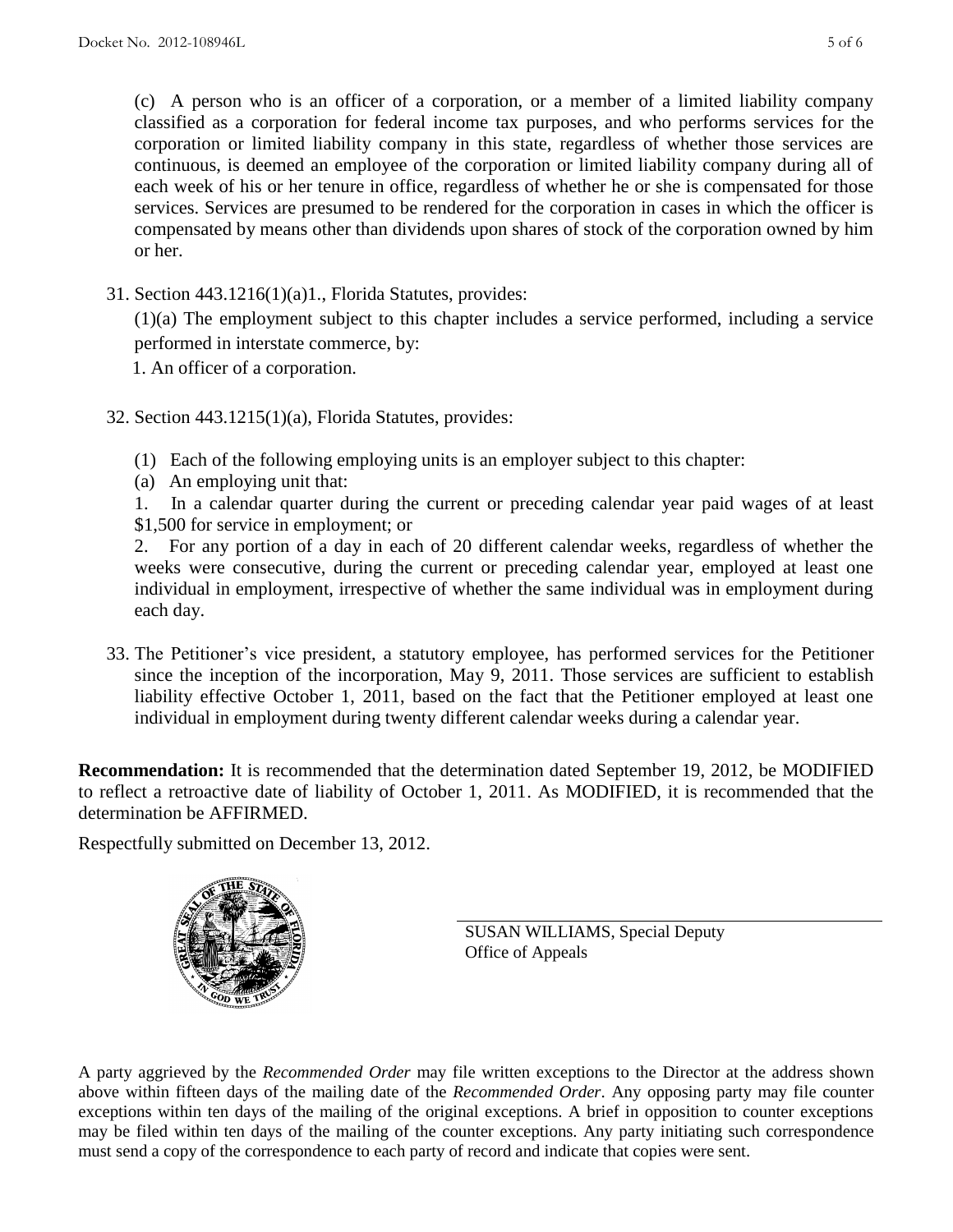(c) A person who is an officer of a corporation, or a member of a limited liability company classified as a corporation for federal income tax purposes, and who performs services for the corporation or limited liability company in this state, regardless of whether those services are continuous, is deemed an employee of the corporation or limited liability company during all of each week of his or her tenure in office, regardless of whether he or she is compensated for those services. Services are presumed to be rendered for the corporation in cases in which the officer is compensated by means other than dividends upon shares of stock of the corporation owned by him or her.

31. Section 443.1216(1)(a)1., Florida Statutes, provides:

(1)(a) The employment subject to this chapter includes a service performed, including a service performed in interstate commerce, by:

1. An officer of a corporation.

- 32. Section 443.1215(1)(a), Florida Statutes, provides:
	- (1) Each of the following employing units is an employer subject to this chapter:
	- (a) An employing unit that:

 1. In a calendar quarter during the current or preceding calendar year paid wages of at least \$1,500 for service in employment; or

 2. For any portion of a day in each of 20 different calendar weeks, regardless of whether the weeks were consecutive, during the current or preceding calendar year, employed at least one individual in employment, irrespective of whether the same individual was in employment during each day.

33. The Petitioner's vice president, a statutory employee, has performed services for the Petitioner since the inception of the incorporation, May 9, 2011. Those services are sufficient to establish liability effective October 1, 2011, based on the fact that the Petitioner employed at least one individual in employment during twenty different calendar weeks during a calendar year.

**Recommendation:** It is recommended that the determination dated September 19, 2012, be MODIFIED to reflect a retroactive date of liability of October 1, 2011. As MODIFIED, it is recommended that the determination be AFFIRMED.

Respectfully submitted on December 13, 2012.



SUSAN WILLIAMS, Special Deputy Office of Appeals

A party aggrieved by the *Recommended Order* may file written exceptions to the Director at the address shown above within fifteen days of the mailing date of the *Recommended Order*. Any opposing party may file counter exceptions within ten days of the mailing of the original exceptions. A brief in opposition to counter exceptions may be filed within ten days of the mailing of the counter exceptions. Any party initiating such correspondence must send a copy of the correspondence to each party of record and indicate that copies were sent.